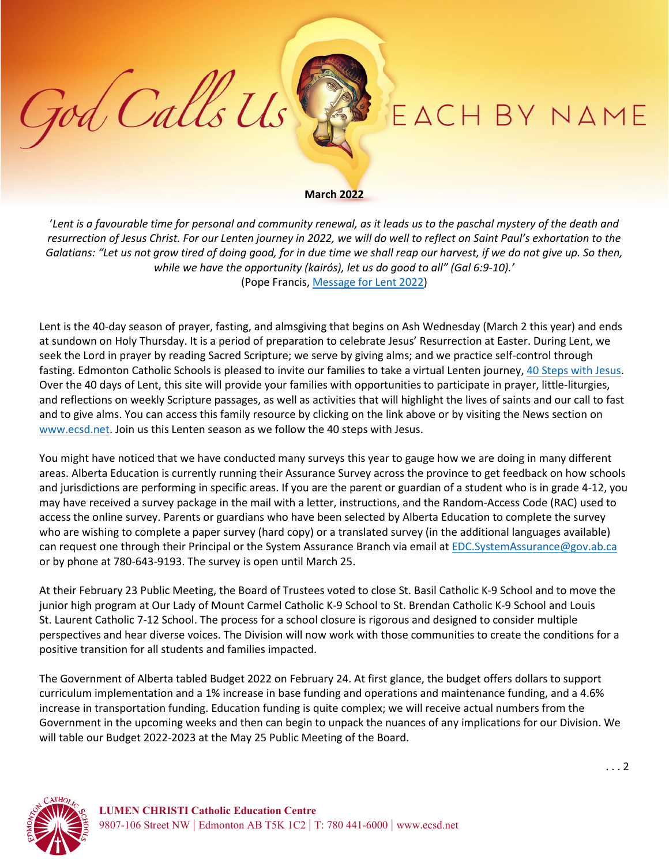## EACH BY NAME

## **March 2022**

God Calls Us

'*Lent is a favourable time for personal and community renewal, as it leads us to the paschal mystery of the death and resurrection of Jesus Christ. For our Lenten journey in 2022, we will do well to reflect on Saint Paul's exhortation to the Galatians: "Let us not grow tired of doing good, for in due time we shall reap our harvest, if we do not give up. So then, while we have the opportunity (kairós), let us do good to all" (Gal 6:9-10).'* (Pope Francis, [Message for Lent 2022\)](https://www.vatican.va/content/francesco/en/messages/lent/documents/20211111-messaggio-quaresima2022.html)

Lent is the 40-day season of prayer, fasting, and almsgiving that begins on Ash Wednesday (March 2 this year) and ends at sundown on Holy Thursday. It is a period of preparation to celebrate Jesus' Resurrection at Easter. During Lent, we seek the Lord in prayer by reading Sacred Scripture; we serve by giving alms; and we practice self-control through fasting. Edmonton Catholic Schools is pleased to invite our families to take a virtual Lenten journey, [40 Steps with Jesus.](https://www.ecsd.net/_ci/p/41161) Over the 40 days of Lent, this site will provide your families with opportunities to participate in prayer, little-liturgies, and reflections on weekly Scripture passages, as well as activities that will highlight the lives of saints and our call to fast and to give alms. You can access this family resource by clicking on the link above or by visiting the News section on [www.ecsd.net.](http://www.ecsd.net/) Join us this Lenten season as we follow the 40 steps with Jesus.

You might have noticed that we have conducted many surveys this year to gauge how we are doing in many different areas. Alberta Education is currently running their Assurance Survey across the province to get feedback on how schools and jurisdictions are performing in specific areas. If you are the parent or guardian of a student who is in grade 4-12, you may have received a survey package in the mail with a letter, instructions, and the Random-Access Code (RAC) used to access the online survey. Parents or guardians who have been selected by Alberta Education to complete the survey who are wishing to complete a paper survey (hard copy) or a translated survey (in the additional languages available) can request one through their Principal or the System Assurance Branch via email at [EDC.SystemAssurance@gov.ab.ca](mailto:EDC.SystemAssurance@gov.ab.ca) or by phone at 780-643-9193. The survey is open until March 25.

At their February 23 Public Meeting, the Board of Trustees voted to close St. Basil Catholic K-9 School and to move the junior high program at Our Lady of Mount Carmel Catholic K-9 School to St. Brendan Catholic K-9 School and Louis St. Laurent Catholic 7-12 School. The process for a school closure is rigorous and designed to consider multiple perspectives and hear diverse voices. The Division will now work with those communities to create the conditions for a positive transition for all students and families impacted.

The Government of Alberta tabled Budget 2022 on February 24. At first glance, the budget offers dollars to support curriculum implementation and a 1% increase in base funding and operations and maintenance funding, and a 4.6% increase in transportation funding. Education funding is quite complex; we will receive actual numbers from the Government in the upcoming weeks and then can begin to unpack the nuances of any implications for our Division. We will table our Budget 2022-2023 at the May 25 Public Meeting of the Board.